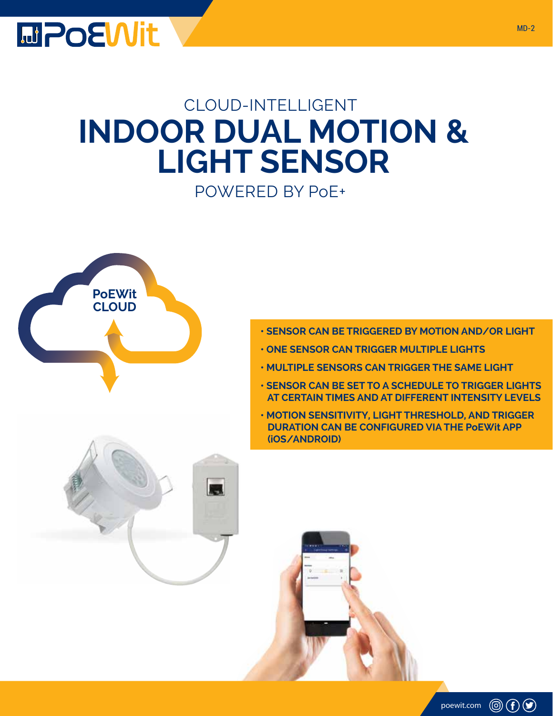

## CLOUD-INTELLIGENT **INDOOR DUAL MOTION & LIGHT SENSOR** POWERED BY PoE+



- **SENSOR CAN BE TRIGGERED BY MOTION AND/OR LIGHT**
- **ONE SENSOR CAN TRIGGER MULTIPLE LIGHTS**
- **MULTIPLE SENSORS CAN TRIGGER THE SAME LIGHT**
- **SENSOR CAN BE SET TO A SCHEDULE TO TRIGGER LIGHTS AT CERTAIN TIMES AND AT DIFFERENT INTENSITY LEVELS**
- **MOTION SENSITIVITY, LIGHT THRESHOLD, AND TRIGGER DURATION CAN BE CONFIGURED VIA THE PoEWit APP (iOS/ANDROID)**

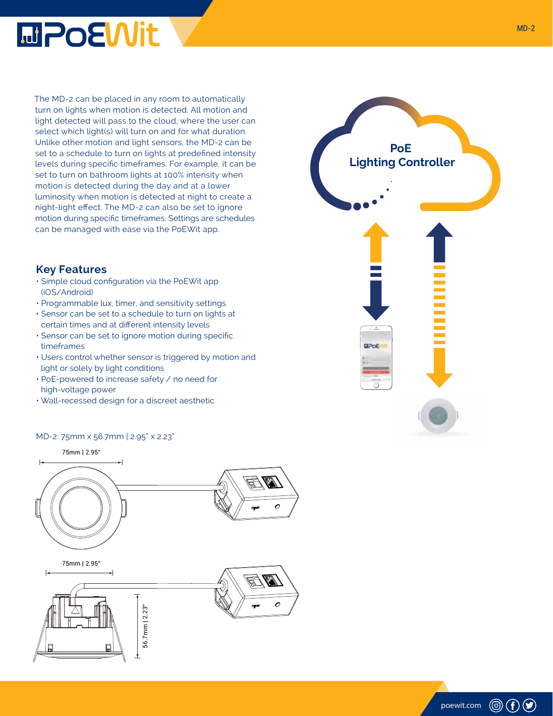

The MD-2 can be placed in any room to automatically turn on lights when motion is detected. All motion and light detected will pass to the cloud, where the user can select which light(s) will turn on and for what duration. Unlike other motion and light sensors, the MD-2 can be set to a schedule to turn on lights at predefined intensity levels during specific timeframes. For example, it can be set to turn on bathroom lights at 100% intensity when motion is detected during the day and at a lower luminosity when motion is detected at night to create a night-light effect. The MD-2 can also be set to ignore motion during specific timeframes. Settings are schedules can be managed with ease via the PoEWit app.

## **Key Features**

- Simple cloud configuration via the PoEWit app (iOS/Android)
- Programmable lux, timer, and sensitivity settings
- Sensor can be set to a schedule to turn on lights at certain times and at different intensity levels
- Sensor can be set to ignore motion during specific timeframes
- Users control whether sensor is triggered by motion and light or solely by light conditions
- PoE-powered to increase safety / no need for high-voltage power
- Wall-recessed design for a discreet aesthetic

## MD-2: 75mm x 56.7mm | 2.95" x 2.23"